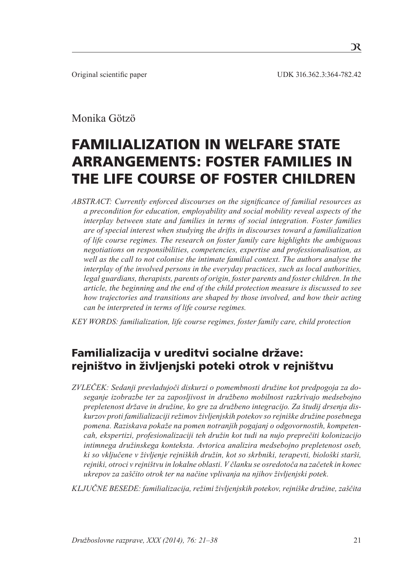# Monika Götzö

# Familialization in Welfare State Arrangements: Foster Families in the Life Course of Foster Children

*ABSTRACT: Currently enforced discourses on the significance of familial resources as a precondition for education, employability and social mobility reveal aspects of the interplay between state and families in terms of social integration. Foster families are of special interest when studying the drifts in discourses toward a familialization of life course regimes. The research on foster family care highlights the ambiguous negotiations on responsibilities, competencies, expertise and professionalisation, as well as the call to not colonise the intimate familial context. The authors analyse the interplay of the involved persons in the everyday practices, such as local authorities, legal guardians, therapists, parents of origin, foster parents and foster children. In the article, the beginning and the end of the child protection measure is discussed to see how trajectories and transitions are shaped by those involved, and how their acting can be interpreted in terms of life course regimes.* 

*KEY WORDS: familialization, life course regimes, foster family care, child protection*

# Familializacija v ureditvi socialne države: rejništvo in življenjski poteki otrok v rejništvu

*ZVLEČEK: Sedanji prevladujoči diskurzi o pomembnosti družine kot predpogoja za doseganje izobrazbe ter za zaposljivost in družbeno mobilnost razkrivajo medsebojno prepletenost države in družine, ko gre za družbeno integracijo. Za študij drsenja diskurzov proti familializaciji režimov življenjskih potekov so rejniške družine posebnega pomena. Raziskava pokaže na pomen notranjih pogajanj o odgovornostih, kompetencah, ekspertizi, profesionalizaciji teh družin kot tudi na nujo preprečiti kolonizacijo intimnega družinskega konteksta. Avtorica analizira medsebojno prepletenost oseb, ki so vključene v življenje rejniških družin, kot so skrbniki, terapevti, biološki starši, rejniki, otroci v rejništvu in lokalne oblasti. V članku se osredotoča na začetek in konec ukrepov za zaščito otrok ter na načine vplivanja na njihov življenjski potek.* 

*KLJUČNE BESEDE: familializacija, režimi življenjskih potekov, rejniške družine, zaščita*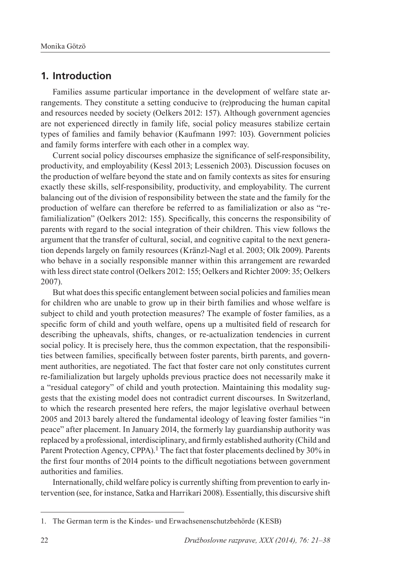### **1. Introduction**

Families assume particular importance in the development of welfare state arrangements. They constitute a setting conducive to (re)producing the human capital and resources needed by society (Oelkers 2012: 157). Although government agencies are not experienced directly in family life, social policy measures stabilize certain types of families and family behavior (Kaufmann 1997: 103). Government policies and family forms interfere with each other in a complex way.

Current social policy discourses emphasize the significance of self-responsibility, productivity, and employability (Kessl 2013; Lessenich 2003). Discussion focuses on the production of welfare beyond the state and on family contexts as sites for ensuring exactly these skills, self-responsibility, productivity, and employability. The current balancing out of the division of responsibility between the state and the family for the production of welfare can therefore be referred to as familialization or also as "refamilialization" (Oelkers 2012: 155). Specifically, this concerns the responsibility of parents with regard to the social integration of their children. This view follows the argument that the transfer of cultural, social, and cognitive capital to the next generation depends largely on family resources (Kränzl-Nagl et al. 2003; Olk 2009). Parents who behave in a socially responsible manner within this arrangement are rewarded with less direct state control (Oelkers 2012: 155; Oelkers and Richter 2009: 35; Oelkers 2007).

But what does this specific entanglement between social policies and families mean for children who are unable to grow up in their birth families and whose welfare is subject to child and youth protection measures? The example of foster families, as a specific form of child and youth welfare, opens up a multisited field of research for describing the upheavals, shifts, changes, or re-actualization tendencies in current social policy. It is precisely here, thus the common expectation, that the responsibilities between families, specifically between foster parents, birth parents, and government authorities, are negotiated. The fact that foster care not only constitutes current re-familialization but largely upholds previous practice does not necessarily make it a "residual category" of child and youth protection. Maintaining this modality suggests that the existing model does not contradict current discourses. In Switzerland, to which the research presented here refers, the major legislative overhaul between 2005 and 2013 barely altered the fundamental ideology of leaving foster families "in peace" after placement. In January 2014, the formerly lay guardianship authority was replaced by a professional, interdisciplinary, and firmly established authority (Child and Parent Protection Agency, CPPA).<sup>1</sup> The fact that foster placements declined by 30% in the first four months of 2014 points to the difficult negotiations between government authorities and families.

Internationally, child welfare policy is currently shifting from prevention to early intervention (see, for instance, Satka and Harrikari 2008). Essentially, this discursive shift

<sup>1</sup>. The German term is the Kindes- und Erwachsenenschutzbehörde (KESB)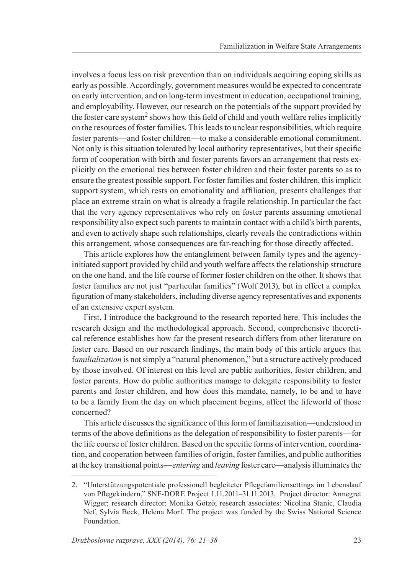involves a focus less on risk prevention than on individuals acquiring coping skills as early as possible. Accordingly, government measures would be expected to concentrate on early intervention, and on long-term investment in education, occupational training, and employability. However, our research on the potentials of the support provided by the foster care system<sup>2</sup> shows how this field of child and youth welfare relies implicitly on the resources of foster families. This leads to unclear responsibilities, which require foster parents—and foster children—to make a considerable emotional commitment. Not only is this situation tolerated by local authority representatives, but their specific form of cooperation with birth and foster parents favors an arrangement that rests explicitly on the emotional ties between foster children and their foster parents so as to ensure the greatest possible support. For foster families and foster children, this implicit support system, which rests on emotionality and affiliation, presents challenges that place an extreme strain on what is already a fragile relationship. In particular the fact that the very agency representatives who rely on foster parents assuming emotional responsibility also expect such parents to maintain contact with a child's birth parents, and even to actively shape such relationships, clearly reveals the contradictions within this arrangement, whose consequences are far-reaching for those directly affected.

This article explores how the entanglement between family types and the agencyinitiated support provided by child and youth welfare affects the relationship structure on the one hand, and the life course of former foster children on the other. It shows that foster families are not just "particular families" (Wolf 2013), but in effect a complex figuration of many stakeholders, including diverse agency representatives and exponents of an extensive expert system.

First, I introduce the background to the research reported here. This includes the research design and the methodological approach. Second, comprehensive theoretical reference establishes how far the present research differs from other literature on foster care. Based on our research findings, the main body of this article argues that f*amilialization* is not simply a "natural phenomenon," but a structure actively produced by those involved. Of interest on this level are public authorities, foster children, and foster parents. How do public authorities manage to delegate responsibility to foster parents and foster children, and how does this mandate, namely, to be and to have to be a family from the day on which placement begins, affect the lifeworld of those concerned?

This article discusses the significance of this form of familiazisation—understood in terms of the above definitions as the delegation of responsibility to foster parents—for the life course of foster children. Based on the specific forms of intervention, coordination, and cooperation between families of origin, foster families, and public authorities at the key transitional points—*entering* and *leaving* foster care—analysis illuminates the

<sup>2</sup>. "Unterstützungspotentiale professionell begleiteter Pflegefamiliensettings im Lebenslauf von Pflegekindern," SNF-DORE Project 1.11.2011–31.11.2013, Project director: Annegret Wigger; research director: Monika Götzö; research associates: Nicolina Stanic, Claudia Nef, Sylvia Beck, Helena Morf. The project was funded by the Swiss National Science Foundation.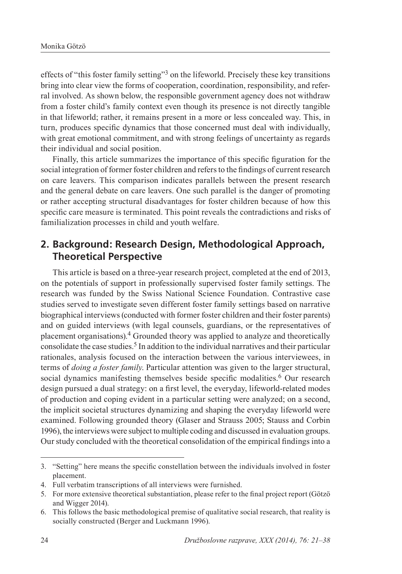effects of "this foster family setting"3 on the lifeworld. Precisely these key transitions bring into clear view the forms of cooperation, coordination, responsibility, and referral involved. As shown below, the responsible government agency does not withdraw from a foster child's family context even though its presence is not directly tangible in that lifeworld; rather, it remains present in a more or less concealed way. This, in turn, produces specific dynamics that those concerned must deal with individually, with great emotional commitment, and with strong feelings of uncertainty as regards their individual and social position.

Finally, this article summarizes the importance of this specific figuration for the social integration of former foster children and refers to the findings of current research on care leavers. This comparison indicates parallels between the present research and the general debate on care leavers. One such parallel is the danger of promoting or rather accepting structural disadvantages for foster children because of how this specific care measure is terminated. This point reveals the contradictions and risks of familialization processes in child and youth welfare.

### **2. Background: Research Design, Methodological Approach, Theoretical Perspective**

This article is based on a three-year research project, completed at the end of 2013, on the potentials of support in professionally supervised foster family settings. The research was funded by the Swiss National Science Foundation. Contrastive case studies served to investigate seven different foster family settings based on narrative biographical interviews (conducted with former foster children and their foster parents) and on guided interviews (with legal counsels, guardians, or the representatives of placement organisations).4 Grounded theory was applied to analyze and theoretically consolidate the case studies.<sup>5</sup> In addition to the individual narratives and their particular rationales, analysis focused on the interaction between the various interviewees, in terms of *doing a foster family*. Particular attention was given to the larger structural, social dynamics manifesting themselves beside specific modalities.<sup>6</sup> Our research design pursued a dual strategy: on a first level, the everyday, lifeworld-related modes of production and coping evident in a particular setting were analyzed; on a second, the implicit societal structures dynamizing and shaping the everyday lifeworld were examined. Following grounded theory (Glaser and Strauss 2005; Stauss and Corbin 1996), the interviews were subject to multiple coding and discussed in evaluation groups. Our study concluded with the theoretical consolidation of the empirical findings into a

<sup>3.</sup> "Setting" here means the specific constellation between the individuals involved in foster placement.

<sup>4.</sup> Full verbatim transcriptions of all interviews were furnished.

<sup>5.</sup> For more extensive theoretical substantiation, please refer to the final project report (Götzö and Wigger 2014).

<sup>6.</sup> This follows the basic methodological premise of qualitative social research, that reality is socially constructed (Berger and Luckmann 1996).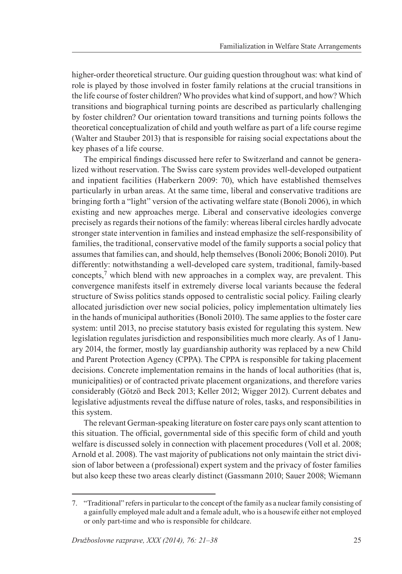higher-order theoretical structure. Our guiding question throughout was: what kind of role is played by those involved in foster family relations at the crucial transitions in the life course of foster children? Who provides what kind of support, and how? Which transitions and biographical turning points are described as particularly challenging by foster children? Our orientation toward transitions and turning points follows the theoretical conceptualization of child and youth welfare as part of a life course regime (Walter and Stauber 2013) that is responsible for raising social expectations about the key phases of a life course.

The empirical findings discussed here refer to Switzerland and cannot be generalized without reservation. The Swiss care system provides well-developed outpatient and inpatient facilities (Haberkern 2009: 70), which have established themselves particularly in urban areas. At the same time, liberal and conservative traditions are bringing forth a "light" version of the activating welfare state (Bonoli 2006), in which existing and new approaches merge. Liberal and conservative ideologies converge precisely as regards their notions of the family: whereas liberal circles hardly advocate stronger state intervention in families and instead emphasize the self-responsibility of families, the traditional, conservative model of the family supports a social policy that assumes that families can, and should, help themselves (Bonoli 2006; Bonoli 2010). Put differently: notwithstanding a well-developed care system, traditional, family-based concepts, $\frac{7}{1}$  which blend with new approaches in a complex way, are prevalent. This convergence manifests itself in extremely diverse local variants because the federal structure of Swiss politics stands opposed to centralistic social policy. Failing clearly allocated jurisdiction over new social policies, policy implementation ultimately lies in the hands of municipal authorities (Bonoli 2010). The same applies to the foster care system: until 2013, no precise statutory basis existed for regulating this system. New legislation regulates jurisdiction and responsibilities much more clearly. As of 1 January 2014, the former, mostly lay guardianship authority was replaced by a new Child and Parent Protection Agency (CPPA). The CPPA is responsible for taking placement decisions. Concrete implementation remains in the hands of local authorities (that is, municipalities) or of contracted private placement organizations, and therefore varies considerably (Götzö and Beck 2013; Keller 2012; Wigger 2012). Current debates and legislative adjustments reveal the diffuse nature of roles, tasks, and responsibilities in this system.

The relevant German-speaking literature on foster care pays only scant attention to this situation. The official, governmental side of this specific form of child and youth welfare is discussed solely in connection with placement procedures (Voll et al. 2008; Arnold et al. 2008). The vast majority of publications not only maintain the strict division of labor between a (professional) expert system and the privacy of foster families but also keep these two areas clearly distinct (Gassmann 2010; Sauer 2008; Wiemann

<sup>7.</sup> "Traditional" refers in particular to the concept of the family as a nuclear family consisting of a gainfully employed male adult and a female adult, who is a housewife either not employed or only part-time and who is responsible for childcare.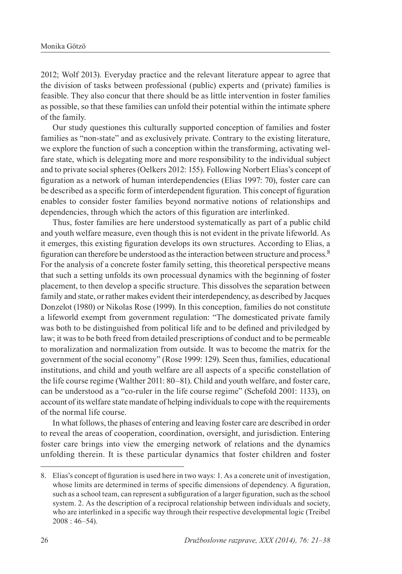2012; Wolf 2013). Everyday practice and the relevant literature appear to agree that the division of tasks between professional (public) experts and (private) families is feasible. They also concur that there should be as little intervention in foster families as possible, so that these families can unfold their potential within the intimate sphere of the family.

Our study questiones this culturally supported conception of families and foster families as "non-state" and as exclusively private. Contrary to the existing literature, we explore the function of such a conception within the transforming, activating welfare state, which is delegating more and more responsibility to the individual subject and to private social spheres (Oelkers 2012: 155). Following Norbert Elias's concept of figuration as a network of human interdependencies (Elias 1997: 70), foster care can be described as a specific form of interdependent figuration. This concept of figuration enables to consider foster families beyond normative notions of relationships and dependencies, through which the actors of this figuration are interlinked.

Thus, foster families are here understood systematically as part of a public child and youth welfare measure, even though this is not evident in the private lifeworld. As it emerges, this existing figuration develops its own structures. According to Elias, a figuration can therefore be understood as the interaction between structure and process.8 For the analysis of a concrete foster family setting, this theoretical perspective means that such a setting unfolds its own processual dynamics with the beginning of foster placement, to then develop a specific structure. This dissolves the separation between family and state, or rather makes evident their interdependency, as described by Jacques Donzelot (1980) or Nikolas Rose (1999). In this conception, families do not constitute a lifeworld exempt from government regulation: "The domesticated private family was both to be distinguished from political life and to be defined and priviledged by law; it was to be both freed from detailed prescriptions of conduct and to be permeable to moralization and normalization from outside. It was to become the matrix for the government of the social economy" (Rose 1999: 129). Seen thus, families, educational institutions, and child and youth welfare are all aspects of a specific constellation of the life course regime (Walther 2011: 80–81). Child and youth welfare, and foster care, can be understood as a "co-ruler in the life course regime" (Schefold 2001: 1133), on account of its welfare state mandate of helping individuals to cope with the requirements of the normal life course.

In what follows, the phases of entering and leaving foster care are described in order to reveal the areas of cooperation, coordination, oversight, and jurisdiction. Entering foster care brings into view the emerging network of relations and the dynamics unfolding therein. It is these particular dynamics that foster children and foster

<sup>8.</sup> Elias's concept of figuration is used here in two ways: 1. As a concrete unit of investigation, whose limits are determined in terms of specific dimensions of dependency. A figuration, such as a school team, can represent a subfiguration of a larger figuration, such as the school system. 2. As the description of a reciprocal relationship between individuals and society, who are interlinked in a specific way through their respective developmental logic (Treibel 2008 : 46–54).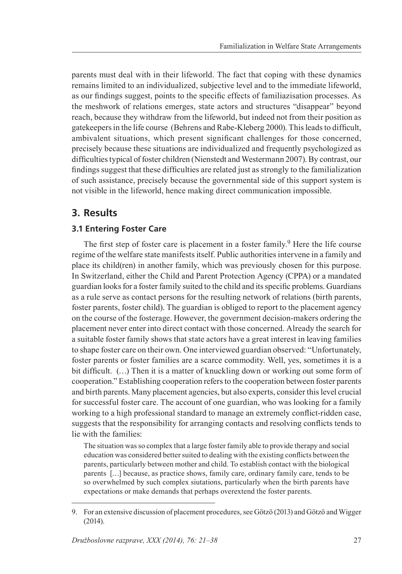parents must deal with in their lifeworld. The fact that coping with these dynamics remains limited to an individualized, subjective level and to the immediate lifeworld, as our findings suggest, points to the specific effects of familiazisation processes. As the meshwork of relations emerges, state actors and structures "disappear" beyond reach, because they withdraw from the lifeworld, but indeed not from their position as gatekeepers in the life course (Behrens and Rabe-Kleberg 2000). This leads to difficult, ambivalent situations, which present significant challenges for those concerned, precisely because these situations are individualized and frequently psychologized as difficulties typical of foster children (Nienstedt and Westermann 2007). By contrast, our findings suggest that these difficulties are related just as strongly to the familialization of such assistance, precisely because the governmental side of this support system is not visible in the lifeworld, hence making direct communication impossible.

## **3. Results**

### **3.1 Entering Foster Care**

The first step of foster care is placement in a foster family.<sup>9</sup> Here the life course regime of the welfare state manifests itself. Public authorities intervene in a family and place its child(ren) in another family, which was previously chosen for this purpose. In Switzerland, either the Child and Parent Protection Agency (CPPA) or a mandated guardian looks for a foster family suited to the child and its specific problems. Guardians as a rule serve as contact persons for the resulting network of relations (birth parents, foster parents, foster child). The guardian is obliged to report to the placement agency on the course of the fosterage. However, the government decision-makers ordering the placement never enter into direct contact with those concerned. Already the search for a suitable foster family shows that state actors have a great interest in leaving families to shape foster care on their own. One interviewed guardian observed: "Unfortunately, foster parents or foster families are a scarce commodity. Well, yes, sometimes it is a bit difficult. (…) Then it is a matter of knuckling down or working out some form of cooperation." Establishing cooperation refers to the cooperation between foster parents and birth parents. Many placement agencies, but also experts, consider this level crucial for successful foster care. The account of one guardian, who was looking for a family working to a high professional standard to manage an extremely conflict-ridden case, suggests that the responsibility for arranging contacts and resolving conflicts tends to lie with the families:

The situation was so complex that a large foster family able to provide therapy and social education was considered better suited to dealing with the existing conflicts between the parents, particularly between mother and child. To establish contact with the biological parents […] because, as practice shows, family care, ordinary family care, tends to be so overwhelmed by such complex siutations, particularly when the birth parents have expectations or make demands that perhaps overextend the foster parents.

<sup>9.</sup> For an extensive discussion of placement procedures, see Götzö (2013) and Götzö and Wigger (2014).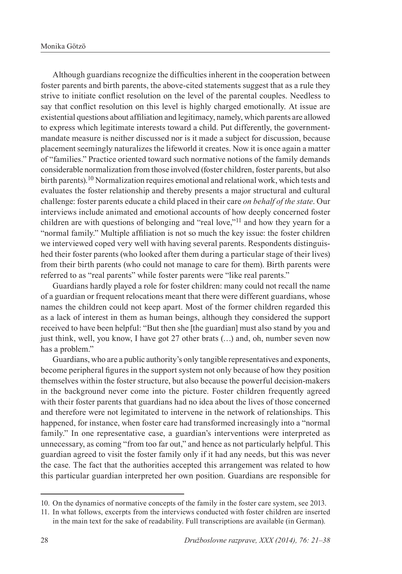Although guardians recognize the difficulties inherent in the cooperation between foster parents and birth parents, the above-cited statements suggest that as a rule they strive to initiate conflict resolution on the level of the parental couples. Needless to say that conflict resolution on this level is highly charged emotionally. At issue are existential questions about affiliation and legitimacy, namely, which parents are allowed to express which legitimate interests toward a child. Put differently, the governmentmandate measure is neither discussed nor is it made a subject for discussion, because placement seemingly naturalizes the lifeworld it creates. Now it is once again a matter of "families." Practice oriented toward such normative notions of the family demands considerable normalization from those involved (foster children, foster parents, but also birth parents).<sup>10</sup> Normalization requires emotional and relational work, which tests and evaluates the foster relationship and thereby presents a major structural and cultural challenge: foster parents educate a child placed in their care *on behalf of the state*. Our interviews include animated and emotional accounts of how deeply concerned foster children are with questions of belonging and "real love,"11 and how they yearn for a "normal family." Multiple affiliation is not so much the key issue: the foster children we interviewed coped very well with having several parents. Respondents distinguished their foster parents (who looked after them during a particular stage of their lives) from their birth parents (who could not manage to care for them). Birth parents were referred to as "real parents" while foster parents were "like real parents."

Guardians hardly played a role for foster children: many could not recall the name of a guardian or frequent relocations meant that there were different guardians, whose names the children could not keep apart. Most of the former children regarded this as a lack of interest in them as human beings, although they considered the support received to have been helpful: "But then she [the guardian] must also stand by you and just think, well, you know, I have got 27 other brats (…) and, oh, number seven now has a problem."

Guardians, who are a public authority's only tangible representatives and exponents, become peripheral figures in the support system not only because of how they position themselves within the foster structure, but also because the powerful decision-makers in the background never come into the picture. Foster children frequently agreed with their foster parents that guardians had no idea about the lives of those concerned and therefore were not legimitated to intervene in the network of relationships. This happened, for instance, when foster care had transformed increasingly into a "normal family." In one representative case, a guardian's interventions were interpreted as unnecessary, as coming "from too far out," and hence as not particularly helpful. This guardian agreed to visit the foster family only if it had any needs, but this was never the case. The fact that the authorities accepted this arrangement was related to how this particular guardian interpreted her own position. Guardians are responsible for

<sup>10.</sup> On the dynamics of normative concepts of the family in the foster care system, see 2013.

<sup>11</sup>. In what follows, excerpts from the interviews conducted with foster children are inserted in the main text for the sake of readability. Full transcriptions are available (in German).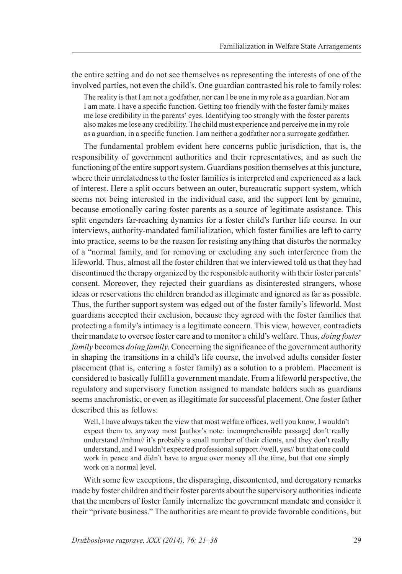the entire setting and do not see themselves as representing the interests of one of the involved parties, not even the child's. One guardian contrasted his role to family roles:

The reality is that I am not a godfather, nor can I be one in my role as a guardian. Nor am I am mate. I have a specific function. Getting too friendly with the foster family makes me lose credibility in the parents' eyes. Identifying too strongly with the foster parents also makes me lose any credibility. The child must experience and perceive me in my role as a guardian, in a specific function. I am neither a godfather nor a surrogate godfather.

The fundamental problem evident here concerns public jurisdiction, that is, the responsibility of government authorities and their representatives, and as such the functioning of the entire support system. Guardians position themselves at this juncture, where their unrelatedness to the foster families is interpreted and experienced as a lack of interest. Here a split occurs between an outer, bureaucratic support system, which seems not being interested in the individual case, and the support lent by genuine, because emotionally caring foster parents as a source of legitimate assistance. This split engenders far-reaching dynamics for a foster child's further life course. In our interviews, authority-mandated familialization, which foster families are left to carry into practice, seems to be the reason for resisting anything that disturbs the normalcy of a "normal family, and for removing or excluding any such interference from the lifeworld. Thus, almost all the foster children that we interviewed told us that they had discontinued the therapy organized by the responsible authority with their foster parents' consent. Moreover, they rejected their guardians as disinterested strangers, whose ideas or reservations the children branded as illegimate and ignored as far as possible. Thus, the further support system was edged out of the foster family's lifeworld. Most guardians accepted their exclusion, because they agreed with the foster families that protecting a family's intimacy is a legitimate concern. This view, however, contradicts their mandate to oversee foster care and to monitor a child's welfare. Thus, *doing foster family* becomes *doing family*. Concerning the significance of the government authority in shaping the transitions in a child's life course, the involved adults consider foster placement (that is, entering a foster family) as a solution to a problem. Placement is considered to basically fulfill a government mandate. From a lifeworld perspective, the regulatory and supervisory function assigned to mandate holders such as guardians seems anachronistic, or even as illegitimate for successful placement. One foster father described this as follows:

Well, I have always taken the view that most welfare offices, well you know, I wouldn't expect them to, anyway most [author's note: incomprehensible passage] don't really understand //mhm// it's probably a small number of their clients, and they don't really understand, and I wouldn't expected professional support //well, yes// but that one could work in peace and didn't have to argue over money all the time, but that one simply work on a normal level.

With some few exceptions, the disparaging, discontented, and derogatory remarks made by foster children and their foster parents about the supervisory authorities indicate that the members of foster family internalize the government mandate and consider it their "private business." The authorities are meant to provide favorable conditions, but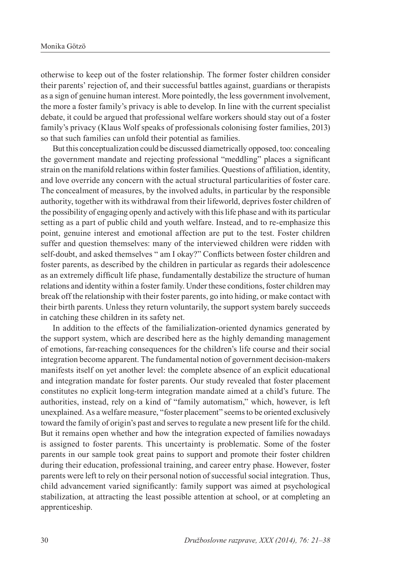otherwise to keep out of the foster relationship. The former foster children consider their parents' rejection of, and their successful battles against, guardians or therapists as a sign of genuine human interest. More pointedly, the less government involvement, the more a foster family's privacy is able to develop. In line with the current specialist debate, it could be argued that professional welfare workers should stay out of a foster family's privacy (Klaus Wolf speaks of professionals colonising foster families, 2013) so that such families can unfold their potential as families.

But this conceptualization could be discussed diametrically opposed, too: concealing the government mandate and rejecting professional "meddling" places a significant strain on the manifold relations within foster families. Questions of affiliation, identity, and love override any concern with the actual structural particularities of foster care. The concealment of measures, by the involved adults, in particular by the responsible authority, together with its withdrawal from their lifeworld, deprives foster children of the possibility of engaging openly and actively with this life phase and with its particular setting as a part of public child and youth welfare. Instead, and to re-emphasize this point, genuine interest and emotional affection are put to the test. Foster children suffer and question themselves: many of the interviewed children were ridden with self-doubt, and asked themselves " am I okay?" Conflicts between foster children and foster parents, as described by the children in particular as regards their adolescence as an extremely difficult life phase, fundamentally destabilize the structure of human relations and identity within a foster family. Under these conditions, foster children may break off the relationship with their foster parents, go into hiding, or make contact with their birth parents. Unless they return voluntarily, the support system barely succeeds in catching these children in its safety net.

In addition to the effects of the familialization-oriented dynamics generated by the support system, which are described here as the highly demanding management of emotions, far-reaching consequences for the children's life course and their social integration become apparent. The fundamental notion of government decision-makers manifests itself on yet another level: the complete absence of an explicit educational and integration mandate for foster parents. Our study revealed that foster placement constitutes no explicit long-term integration mandate aimed at a child's future. The authorities, instead, rely on a kind of "family automatism," which, however, is left unexplained. As a welfare measure, "foster placement" seems to be oriented exclusively toward the family of origin's past and serves to regulate a new present life for the child. But it remains open whether and how the integration expected of families nowadays is assigned to foster parents. This uncertainty is problematic. Some of the foster parents in our sample took great pains to support and promote their foster children during their education, professional training, and career entry phase. However, foster parents were left to rely on their personal notion of successful social integration. Thus, child advancement varied significantly: family support was aimed at psychological stabilization, at attracting the least possible attention at school, or at completing an apprenticeship.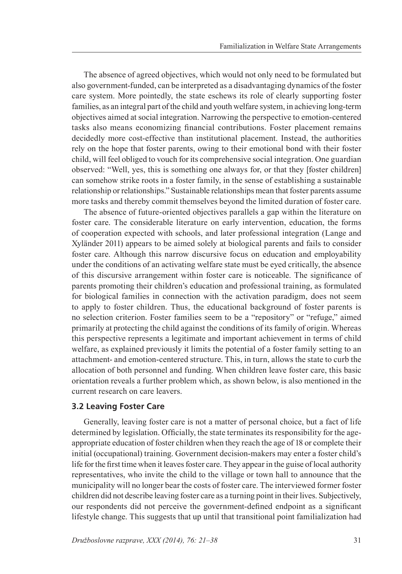The absence of agreed objectives, which would not only need to be formulated but also government-funded, can be interpreted as a disadvantaging dynamics of the foster care system. More pointedly, the state eschews its role of clearly supporting foster families, as an integral part of the child and youth welfare system, in achieving long-term objectives aimed at social integration. Narrowing the perspective to emotion-centered tasks also means economizing financial contributions. Foster placement remains decidedly more cost-effective than institutional placement. Instead, the authorities rely on the hope that foster parents, owing to their emotional bond with their foster child, will feel obliged to vouch for its comprehensive social integration. One guardian observed: "Well, yes, this is something one always for, or that they [foster children] can somehow strike roots in a foster family, in the sense of establishing a sustainable relationship or relationships." Sustainable relationships mean that foster parents assume more tasks and thereby commit themselves beyond the limited duration of foster care.

The absence of future-oriented objectives parallels a gap within the literature on foster care. The considerable literature on early intervention, education, the forms of cooperation expected with schools, and later professional integration (Lange and Xyländer 2011) appears to be aimed solely at biological parents and fails to consider foster care. Although this narrow discursive focus on education and employability under the conditions of an activating welfare state must be eyed critically, the absence of this discursive arrangement within foster care is noticeable. The significance of parents promoting their children's education and professional training, as formulated for biological families in connection with the activation paradigm, does not seem to apply to foster children. Thus, the educational background of foster parents is no selection criterion. Foster families seem to be a "repository" or "refuge," aimed primarily at protecting the child against the conditions of its family of origin. Whereas this perspective represents a legitimate and important achievement in terms of child welfare, as explained previously it limits the potential of a foster family setting to an attachment- and emotion-centered structure. This, in turn, allows the state to curb the allocation of both personnel and funding. When children leave foster care, this basic orientation reveals a further problem which, as shown below, is also mentioned in the current research on care leavers.

#### **3.2 Leaving Foster Care**

Generally, leaving foster care is not a matter of personal choice, but a fact of life determined by legislation. Officially, the state terminates its responsibility for the ageappropriate education of foster children when they reach the age of 18 or complete their initial (occupational) training. Government decision-makers may enter a foster child's life for the first time when it leaves foster care. They appear in the guise of local authority representatives, who invite the child to the village or town hall to announce that the municipality will no longer bear the costs of foster care. The interviewed former foster children did not describe leaving foster care as a turning point in their lives. Subjectively, our respondents did not perceive the government-defined endpoint as a significant lifestyle change. This suggests that up until that transitional point familialization had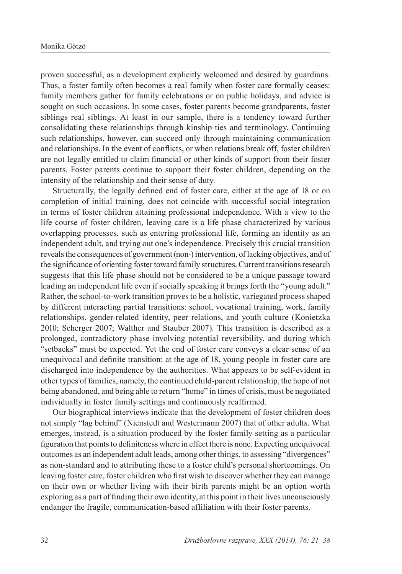proven successful, as a development explicitly welcomed and desired by guardians. Thus, a foster family often becomes a real family when foster care formally ceases: family members gather for family celebrations or on public holidays, and advice is sought on such occasions. In some cases, foster parents become grandparents, foster siblings real siblings. At least in our sample, there is a tendency toward further consolidating these relationships through kinship ties and terminology. Continuing such relationships, however, can succeed only through maintaining communication and relationships. In the event of conflicts, or when relations break off, foster children are not legally entitled to claim financial or other kinds of support from their foster parents. Foster parents continue to support their foster children, depending on the intensity of the relationship and their sense of duty.

Structurally, the legally defined end of foster care, either at the age of 18 or on completion of initial training, does not coincide with successful social integration in terms of foster children attaining professional independence. With a view to the life course of foster children, leaving care is a life phase characterized by various overlapping processes, such as entering professional life, forming an identity as an independent adult, and trying out one's independence. Precisely this crucial transition reveals the consequences of government (non-) intervention, of lacking objectives, and of the significance of orienting foster toward family structures. Current transitions research suggests that this life phase should not be considered to be a unique passage toward leading an independent life even if socially speaking it brings forth the "young adult." Rather, the school-to-work transition proves to be a holistic, variegated process shaped by different interacting partial transitions: school, vocational training, work, family relationships, gender-related identity, peer relations, and youth culture (Konietzka 2010; Scherger 2007; Walther and Stauber 2007). This transition is described as a prolonged, contradictory phase involving potential reversibility, and during which "setbacks" must be expected. Yet the end of foster care conveys a clear sense of an unequivocal and definite transition: at the age of 18, young people in foster care are discharged into independence by the authorities. What appears to be self-evident in other types of families, namely, the continued child-parent relationship, the hope of not being abandoned, and being able to return "home" in times of crisis, must be negotiated individually in foster family settings and continuously reaffirmed.

Our biographical interviews indicate that the development of foster children does not simply "lag behind" (Nienstedt and Westermann 2007) that of other adults. What emerges, instead, is a situation produced by the foster family setting as a particular figuration that points to definiteness where in effect there is none. Expecting unequivocal outcomes as an independent adult leads, among other things, to assessing "divergences" as non-standard and to attributing these to a foster child's personal shortcomings. On leaving foster care, foster children who first wish to discover whether they can manage on their own or whether living with their birth parents might be an option worth exploring as a part of finding their own identity, at this point in their lives unconsciously endanger the fragile, communication-based affiliation with their foster parents.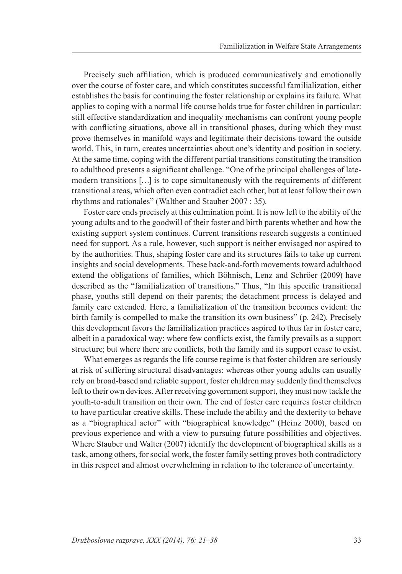Precisely such affiliation, which is produced communicatively and emotionally over the course of foster care, and which constitutes successful familialization, either establishes the basis for continuing the foster relationship or explains its failure. What applies to coping with a normal life course holds true for foster children in particular: still effective standardization and inequality mechanisms can confront young people with conflicting situations, above all in transitional phases, during which they must prove themselves in manifold ways and legitimate their decisions toward the outside world. This, in turn, creates uncertainties about one's identity and position in society. At the same time, coping with the different partial transitions constituting the transition to adulthood presents a significant challenge. "One of the principal challenges of latemodern transitions […] is to cope simultaneously with the requirements of different transitional areas, which often even contradict each other, but at least follow their own rhythms and rationales" (Walther and Stauber 2007 : 35).

Foster care ends precisely at this culmination point. It is now left to the ability of the young adults and to the goodwill of their foster and birth parents whether and how the existing support system continues. Current transitions research suggests a continued need for support. As a rule, however, such support is neither envisaged nor aspired to by the authorities. Thus, shaping foster care and its structures fails to take up current insights and social developments. These back-and-forth movements toward adulthood extend the obligations of families, which Böhnisch, Lenz and Schröer (2009) have described as the "familialization of transitions." Thus, "In this specific transitional phase, youths still depend on their parents; the detachment process is delayed and family care extended. Here, a familialization of the transition becomes evident: the birth family is compelled to make the transition its own business" (p. 242). Precisely this development favors the familialization practices aspired to thus far in foster care, albeit in a paradoxical way: where few conflicts exist, the family prevails as a support structure; but where there are conflicts, both the family and its support cease to exist.

What emerges as regards the life course regime is that foster children are seriously at risk of suffering structural disadvantages: whereas other young adults can usually rely on broad-based and reliable support, foster children may suddenly find themselves left to their own devices. After receiving government support, they must now tackle the youth-to-adult transition on their own. The end of foster care requires foster children to have particular creative skills. These include the ability and the dexterity to behave as a "biographical actor" with "biographical knowledge" (Heinz 2000), based on previous experience and with a view to pursuing future possibilities and objectives. Where Stauber und Walter (2007) identify the development of biographical skills as a task, among others, for social work, the foster family setting proves both contradictory in this respect and almost overwhelming in relation to the tolerance of uncertainty.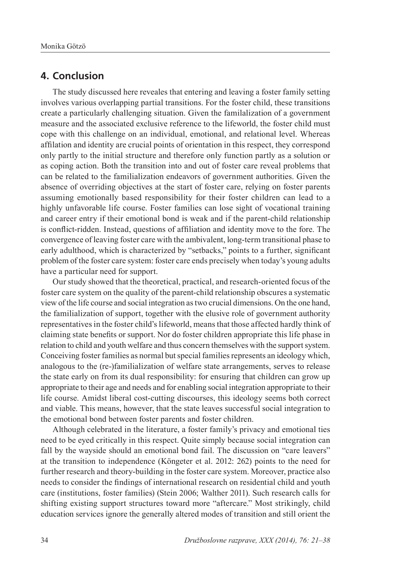#### **4. Conclusion**

The study discussed here reveales that entering and leaving a foster family setting involves various overlapping partial transitions. For the foster child, these transitions create a particularly challenging situation. Given the familalization of a government measure and the associated exclusive reference to the lifeworld, the foster child must cope with this challenge on an individual, emotional, and relational level. Whereas affilation and identity are crucial points of orientation in this respect, they correspond only partly to the initial structure and therefore only function partly as a solution or as coping action. Both the transition into and out of foster care reveal problems that can be related to the familialization endeavors of government authorities. Given the absence of overriding objectives at the start of foster care, relying on foster parents assuming emotionally based responsibility for their foster children can lead to a highly unfavorable life course. Foster families can lose sight of vocational training and career entry if their emotional bond is weak and if the parent-child relationship is conflict-ridden. Instead, questions of affiliation and identity move to the fore. The convergence of leaving foster care with the ambivalent, long-term transitional phase to early adulthood, which is characterized by "setbacks," points to a further, significant problem of the foster care system: foster care ends precisely when today's young adults have a particular need for support.

Our study showed that the theoretical, practical, and research-oriented focus of the foster care system on the quality of the parent-child relationship obscures a systematic view of the life course and social integration as two crucial dimensions. On the one hand, the familialization of support, together with the elusive role of government authority representatives in the foster child's lifeworld, means that those affected hardly think of claiming state benefits or support. Nor do foster children appropriate this life phase in relation to child and youth welfare and thus concern themselves with the support system. Conceiving foster families as normal but special families represents an ideology which, analogous to the (re-)familialization of welfare state arrangements, serves to release the state early on from its dual responsibility: for ensuring that children can grow up appropriate to their age and needs and for enabling social integration appropriate to their life course. Amidst liberal cost-cutting discourses, this ideology seems both correct and viable. This means, however, that the state leaves successful social integration to the emotional bond between foster parents and foster children.

Although celebrated in the literature, a foster family's privacy and emotional ties need to be eyed critically in this respect. Quite simply because social integration can fall by the wayside should an emotional bond fail. The discussion on "care leavers" at the transition to independence (Köngeter et al. 2012: 262) points to the need for further research and theory-building in the foster care system. Moreover, practice also needs to consider the findings of international research on residential child and youth care (institutions, foster families) (Stein 2006; Walther 2011). Such research calls for shifting existing support structures toward more "aftercare." Most strikingly, child education services ignore the generally altered modes of transition and still orient the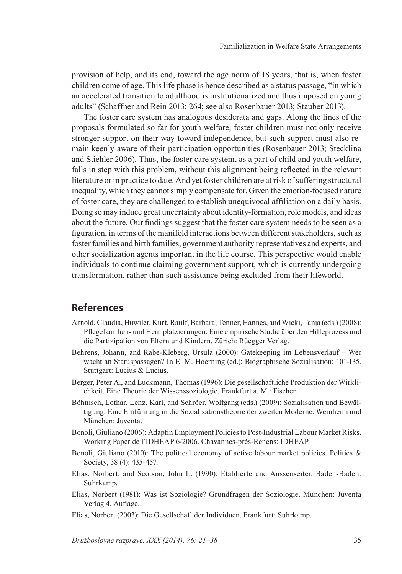provision of help, and its end, toward the age norm of 18 years, that is, when foster children come of age. This life phase is hence described as a status passage, "in which an accelerated transition to adulthood is institutionalized and thus imposed on young adults" (Schaffner and Rein 2013: 264; see also Rosenbauer 2013; Stauber 2013).

The foster care system has analogous desiderata and gaps. Along the lines of the proposals formulated so far for youth welfare, foster children must not only receive stronger support on their way toward independence, but such support must also remain keenly aware of their participation opportunities (Rosenbauer 2013; Stecklina and Stiehler 2006). Thus, the foster care system, as a part of child and youth welfare, falls in step with this problem, without this alignment being reflected in the relevant literature or in practice to date. And yet foster children are at risk of suffering structural inequality, which they cannot simply compensate for. Given the emotion-focused nature of foster care, they are challenged to establish unequivocal affiliation on a daily basis. Doing so may induce great uncertainty about identity-formation, role models, and ideas about the future. Our findings suggest that the foster care system needs to be seen as a figuration, in terms of the manifold interactions between different stakeholders, such as foster families and birth families, government authority representatives and experts, and other socialization agents important in the life course. This perspective would enable individuals to continue claiming government support, which is currently undergoing transformation, rather than such assistance being excluded from their lifeworld.

### **References**

- Arnold, Claudia, Huwiler, Kurt, Raulf, Barbara, Tenner, Hannes, and Wicki, Tanja (eds.) (2008): Pflegefamilien- und Heimplatzierungen: Eine empirische Studie über den Hilfeprozess und die Partizipation von Eltern und Kindern. Zürich: Rüegger Verlag.
- Behrens, Johann, and Rabe-Kleberg, Ursula (2000): Gatekeeping im Lebensverlauf Wer wacht an Statuspassagen? In E. M. Hoerning (ed.): Biographische Sozialisation: 101-135. Stuttgart: Lucius & Lucius.
- Berger, Peter A., and Luckmann, Thomas (1996): Die gesellschaftliche Produktion der Wirklichkeit. Eine Theorie der Wissenssoziologie. Frankfurt a. M.: Fischer.
- Böhnisch, Lothar, Lenz, Karl, and Schröer, Wolfgang (eds.) (2009): Sozialisation und Bewältigung: Eine Einführung in die Sozialisationstheorie der zweiten Moderne. Weinheim und München: Juventa.
- Bonoli, Giuliano (2006): Adaptin Employment Policies to Post-Industrial Labour Market Risks. Working Paper de l'IDHEAP 6/2006. Chavannes-près-Renens: IDHEAP.
- Bonoli, Giuliano (2010): The political economy of active labour market policies. Politics & Society, 38 (4): 435-457.
- Elias, Norbert, and Scotson, John L. (1990): Etablierte und Aussenseiter. Baden-Baden: Suhrkamp.
- Elias, Norbert (1981): Was ist Soziologie? Grundfragen der Soziologie. München: Juventa Verlag 4. Auflage.
- Elias, Norbert (2003): Die Gesellschaft der Individuen. Frankfurt: Suhrkamp.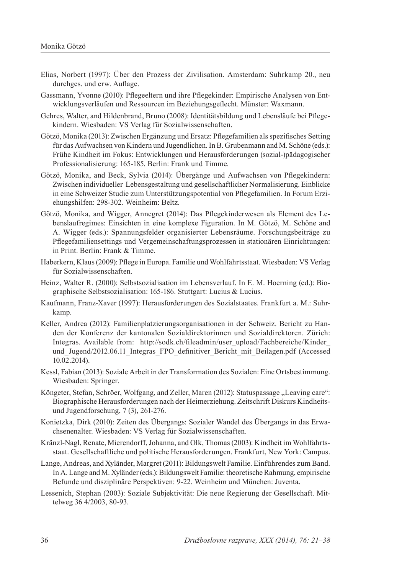- Elias, Norbert (1997): Über den Prozess der Zivilisation. Amsterdam: Suhrkamp 20., neu durchges. und erw. Auflage.
- Gassmann, Yvonne (2010): Pflegeeltern und ihre Pflegekinder: Empirische Analysen von Entwicklungsverläufen und Ressourcen im Beziehungsgeflecht. Münster: Waxmann.
- Gehres, Walter, and Hildenbrand, Bruno (2008): Identitätsbildung und Lebensläufe bei Pflegekindern. Wiesbaden: VS Verlag für Sozialwissenschaften.
- Götzö, Monika (2013): Zwischen Ergänzung und Ersatz: Pflegefamilien als spezifisches Setting für das Aufwachsen von Kindern und Jugendlichen. In B. Grubenmann and M. Schöne (eds.): Frühe Kindheit im Fokus: Entwicklungen und Herausforderungen (sozial-)pädagogischer Professionalisierung: 165-185. Berlin: Frank und Timme.
- Götzö, Monika, and Beck, Sylvia (2014): Übergänge und Aufwachsen von Pflegekindern: Zwischen individueller Lebensgestaltung und gesellschaftlicher Normalisierung. Einblicke in eine Schweizer Studie zum Unterstützungspotential von Pflegefamilien. In Forum Erziehungshilfen: 298-302. Weinheim: Beltz.
- Götzö, Monika, and Wigger, Annegret (2014): Das Pflegekinderwesen als Element des Lebenslaufregimes: Einsichten in eine komplexe Figuration. In M. Götzö, M. Schöne and A. Wigger (eds.): Spannungsfelder organisierter Lebensräume. Forschungsbeiträge zu Pflegefamiliensettings und Vergemeinschaftungsprozessen in stationären Einrichtungen: in Print. Berlin: Frank & Timme.
- Haberkern, Klaus (2009): Pflege in Europa. Familie und Wohlfahrtsstaat. Wiesbaden: VS Verlag für Sozialwissenschaften.
- Heinz, Walter R. (2000): Selbstsozialisation im Lebensverlauf. In E. M. Hoerning (ed.): Biographische Selbstsozialisation: 165-186. Stuttgart: Lucius & Lucius.
- Kaufmann, Franz-Xaver (1997): Herausforderungen des Sozialstaates. Frankfurt a. M.: Suhrkamp.
- Keller, Andrea (2012): Familienplatzierungsorganisationen in der Schweiz. Bericht zu Handen der Konferenz der kantonalen Sozialdirektorinnen und Sozialdirektoren. Zürich: Integras. Available from: http://sodk.ch/fileadmin/user\_upload/Fachbereiche/Kinder\_ und Jugend/2012.06.11 Integras FPO definitiver Bericht mit Beilagen.pdf (Accessed 10.02.2014).
- Kessl, Fabian (2013): Soziale Arbeit in der Transformation des Sozialen: Eine Ortsbestimmung. Wiesbaden: Springer.
- Köngeter, Stefan, Schröer, Wolfgang, and Zeller, Maren (2012): Statuspassage "Leaving care": Biographische Herausforderungen nach der Heimerziehung. Zeitschrift Diskurs Kindheitsund Jugendforschung, 7 (3), 261-276.
- Konietzka, Dirk (2010): Zeiten des Übergangs: Sozialer Wandel des Übergangs in das Erwachsenenalter. Wiesbaden: VS Verlag für Sozialwissenschaften.
- Kränzl-Nagl, Renate, Mierendorff, Johanna, and Olk, Thomas (2003): Kindheit im Wohlfahrtsstaat. Gesellschaftliche und politische Herausforderungen. Frankfurt, New York: Campus.
- Lange, Andreas, and Xyländer, Margret (2011): Bildungswelt Familie. Einführendes zum Band. In A. Lange and M. Xyländer (eds.): Bildungswelt Familie: theoretische Rahmung, empirische Befunde und disziplinäre Perspektiven: 9-22. Weinheim und München: Juventa.
- Lessenich, Stephan (2003): Soziale Subjektivität: Die neue Regierung der Gesellschaft. Mittelweg 36 4/2003, 80-93.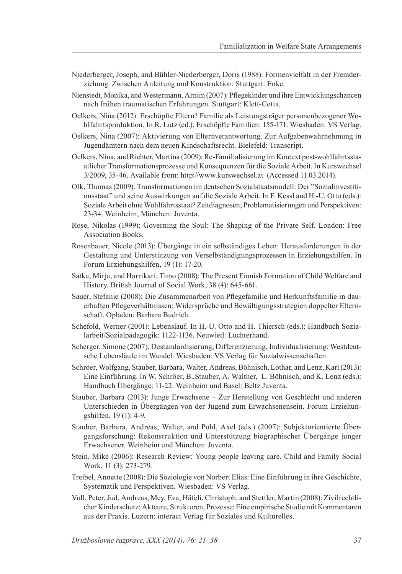- Niederberger, Joseph, and Bühler-Niederberger, Doris (1988): Formenvielfalt in der Fremderziehung. Zwischen Anleitung und Konstruktion. Stuttgart: Enke.
- Nienstedt, Monika, and Westermann, Arnim (2007): Pflegekinder und ihre Entwicklungschancen nach frühen traumatischen Erfahrungen. Stuttgart: Klett-Cotta.
- Oelkers, Nina (2012): Erschöpfte Eltern? Familie als Leistungsträger personenbezogener Wohlfahrtsproduktion. In R. Lutz (ed.): Erschöpfte Familien: 155-171. Wiesbaden: VS Verlag.
- Oelkers, Nina (2007): Aktivierung von Elternverantwortung. Zur Aufgabenwahrnehmung in Jugendämtern nach dem neuen Kindschaftsrecht. Bielefeld: Transcript.
- Oelkers, Nina, and Richter, Martina (2009): Re-Familialisierung im Kontext post-wohlfahrtsstaatlicher Transformationsprozesse und Konsequenzen für die Soziale Arbeit. In Kurswechsel 3/2009, 35-46. Available from: http://www.kurswechsel.at (Accessed 11.03.2014).
- Olk, Thomas (2009): Transformationen im deutschen Sozialstaatsmodell: Der "Sozialinvestitionsstaat" und seine Auswirkungen auf die Soziale Arbeit. In F. Kessl and H.-U. Otto (eds.): Soziale Arbeit ohne Wohlfahrtsstaat? Zeitdiagnosen, Problematisierungen und Perspektiven: 23-34. Weinheim, München: Juventa.
- Rose, Nikolas (1999): Governing the Soul: The Shaping of the Private Self. London: Free Association Books.
- Rosenbauer, Nicole (2013): Übergänge in ein selbständiges Leben: Herausforderungen in der Gestaltung und Unterstützung von Verselbständigungsprozessen in Erziehungshilfen. In Forum Erziehungshilfen, 19 (1): 17-20.
- Satka, Mirja, and Harrikari, Timo (2008): The Present Finnish Formation of Child Welfare and History. British Journal of Social Work, 38 (4): 645-661.
- Sauer, Stefanie (2008): Die Zusammenarbeit von Pflegefamilie und Herkunftsfamilie in dauerhaften Pflegeverhältnissen: Widersprüche und Bewältigungsstrategien doppelter Elternschaft. Opladen: Barbara Budrich.
- Schefold, Werner (2001): Lebenslauf. In H.-U. Otto and H. Thiersch (eds.): Handbuch Sozialarbeit/Sozialpädagogik: 1122-1136. Neuwied: Luchterhand.
- Scherger, Simone (2007): Destandardisierung, Differenzierung, Individualisierung: Westdeutsche Lebensläufe im Wandel. Wiesbaden: VS Verlag für Sozialwissenschaften.
- Schröer, Wolfgang, Stauber, Barbara, Walter, Andreas, Böhnisch, Lothar, and Lenz, Karl (2013): Eine Einführung. In W. Schröer, B.,Stauber, A. Walther, L. Böhnisch, and K. Lenz (eds.): Handbuch Übergänge: 11-22. Weinheim und Basel: Beltz Juventa.
- Stauber, Barbara (2013): Junge Erwachsene Zur Herstellung von Geschlecht und anderen Unterschieden in Übergängen von der Jugend zum Erwachsenensein. Forum Erziehungshilfen, 19 (1): 4-9.
- Stauber, Barbara, Andreas, Walter, and Pohl, Axel (eds.) (2007): Subjektorientierte Übergangsforschung: Rekonstruktion und Unterstützung biographischer Übergänge junger Erwachsener. Weinheim und München: Juventa.
- Stein, Mike (2006): Research Review: Young people leaving care. Child and Family Social Work, 11 (3): 273-279.
- Treibel, Annette (2008): Die Soziologie von Norbert Elias: Eine Einführung in ihre Geschichte, Systematik und Perspektiven. Wiesbaden: VS Verlag.
- Voll, Peter, Jud, Andreas, Mey, Eva, Häfeli, Christoph, and Stettler, Martin (2008): Zivilrechtlicher Kinderschutz: Akteure, Strukturen, Prozesse: Eine empirische Studie mit Kommentaren aus der Praxis. Luzern: interact Verlag für Soziales und Kulturelles.